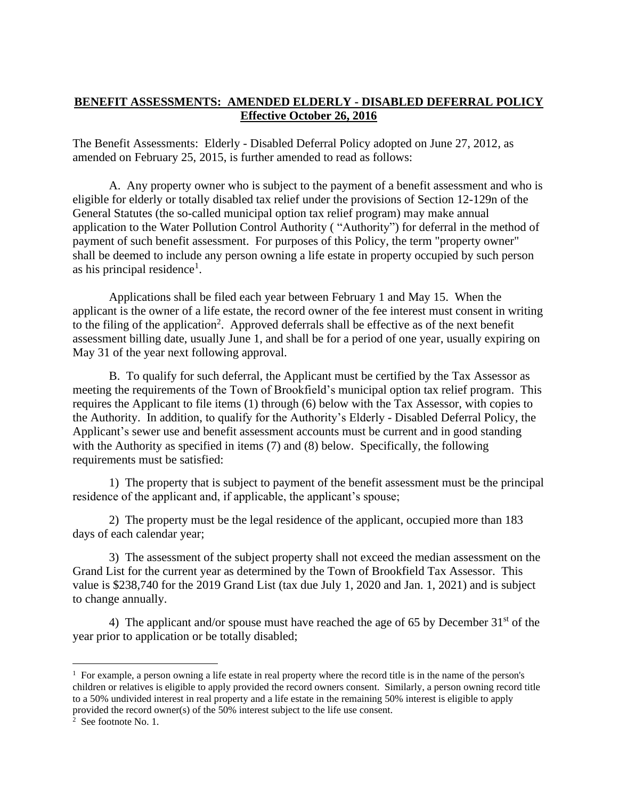## **BENEFIT ASSESSMENTS: AMENDED ELDERLY - DISABLED DEFERRAL POLICY Effective October 26, 2016**

The Benefit Assessments: Elderly - Disabled Deferral Policy adopted on June 27, 2012, as amended on February 25, 2015, is further amended to read as follows:

A. Any property owner who is subject to the payment of a benefit assessment and who is eligible for elderly or totally disabled tax relief under the provisions of Section 12-129n of the General Statutes (the so-called municipal option tax relief program) may make annual application to the Water Pollution Control Authority ( "Authority") for deferral in the method of payment of such benefit assessment. For purposes of this Policy, the term "property owner" shall be deemed to include any person owning a life estate in property occupied by such person as his principal residence<sup>1</sup>.

Applications shall be filed each year between February 1 and May 15. When the applicant is the owner of a life estate, the record owner of the fee interest must consent in writing to the filing of the application<sup>2</sup>. Approved deferrals shall be effective as of the next benefit assessment billing date, usually June 1, and shall be for a period of one year, usually expiring on May 31 of the year next following approval.

B. To qualify for such deferral, the Applicant must be certified by the Tax Assessor as meeting the requirements of the Town of Brookfield's municipal option tax relief program. This requires the Applicant to file items (1) through (6) below with the Tax Assessor, with copies to the Authority. In addition, to qualify for the Authority's Elderly - Disabled Deferral Policy, the Applicant's sewer use and benefit assessment accounts must be current and in good standing with the Authority as specified in items (7) and (8) below. Specifically, the following requirements must be satisfied:

1) The property that is subject to payment of the benefit assessment must be the principal residence of the applicant and, if applicable, the applicant's spouse;

2) The property must be the legal residence of the applicant, occupied more than 183 days of each calendar year;

3) The assessment of the subject property shall not exceed the median assessment on the Grand List for the current year as determined by the Town of Brookfield Tax Assessor. This value is \$238,740 for the 2019 Grand List (tax due July 1, 2020 and Jan. 1, 2021) and is subject to change annually.

4) The applicant and/or spouse must have reached the age of 65 by December  $31<sup>st</sup>$  of the year prior to application or be totally disabled;

<sup>&</sup>lt;sup>1</sup> For example, a person owning a life estate in real property where the record title is in the name of the person's children or relatives is eligible to apply provided the record owners consent. Similarly, a person owning record title to a 50% undivided interest in real property and a life estate in the remaining 50% interest is eligible to apply provided the record owner(s) of the 50% interest subject to the life use consent.<br><sup>2</sup> See footnote No. 1.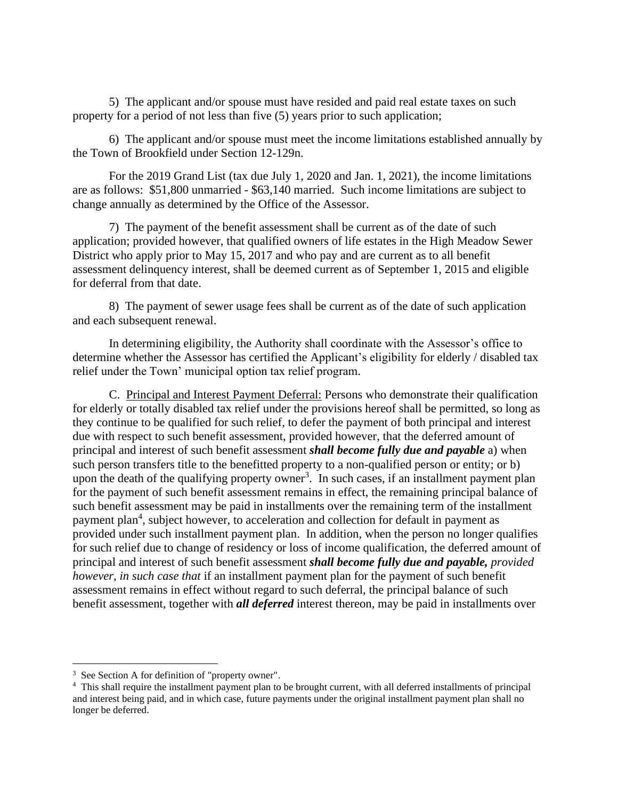5) The applicant and/or spouse must have resided and paid real estate taxes on such property for a period of not less than five (5) years prior to such application;

6) The applicant and/or spouse must meet the income limitations established annually by the Town of Brookfield under Section 12-129n.

For the 2019 Grand List (tax due July 1, 2020 and Jan. 1, 2021), the income limitations are as follows: \$51,800 unmarried - \$63,140 married. Such income limitations are subject to change annually as determined by the Office of the Assessor.

7) The payment of the benefit assessment shall be current as of the date of such application; provided however, that qualified owners of life estates in the High Meadow Sewer District who apply prior to May 15, 2017 and who pay and are current as to all benefit assessment delinquency interest, shall be deemed current as of September 1, 2015 and eligible for deferral from that date.

8) The payment of sewer usage fees shall be current as of the date of such application and each subsequent renewal.

In determining eligibility, the Authority shall coordinate with the Assessor's office to determine whether the Assessor has certified the Applicant's eligibility for elderly / disabled tax relief under the Town' municipal option tax relief program.

C. Principal and Interest Payment Deferral: Persons who demonstrate their qualification for elderly or totally disabled tax relief under the provisions hereof shall be permitted, so long as they continue to be qualified for such relief, to defer the payment of both principal and interest due with respect to such benefit assessment, provided however, that the deferred amount of principal and interest of such benefit assessment *shall become fully due and payable* a) when such person transfers title to the benefitted property to a non-qualified person or entity; or b) upon the death of the qualifying property owner<sup>3</sup>. In such cases, if an installment payment plan for the payment of such benefit assessment remains in effect, the remaining principal balance of such benefit assessment may be paid in installments over the remaining term of the installment payment plan<sup>4</sup>, subject however, to acceleration and collection for default in payment as provided under such installment payment plan. In addition, when the person no longer qualifies for such relief due to change of residency or loss of income qualification, the deferred amount of principal and interest of such benefit assessment *shall become fully due and payable, provided however, in such case that* if an installment payment plan for the payment of such benefit assessment remains in effect without regard to such deferral, the principal balance of such benefit assessment, together with *all deferred* interest thereon, may be paid in installments over

<sup>&</sup>lt;sup>3</sup> See Section A for definition of "property owner".

<sup>&</sup>lt;sup>4</sup> This shall require the installment payment plan to be brought current, with all deferred installments of principal and interest being paid, and in which case, future payments under the original installment payment plan shall no longer be deferred.